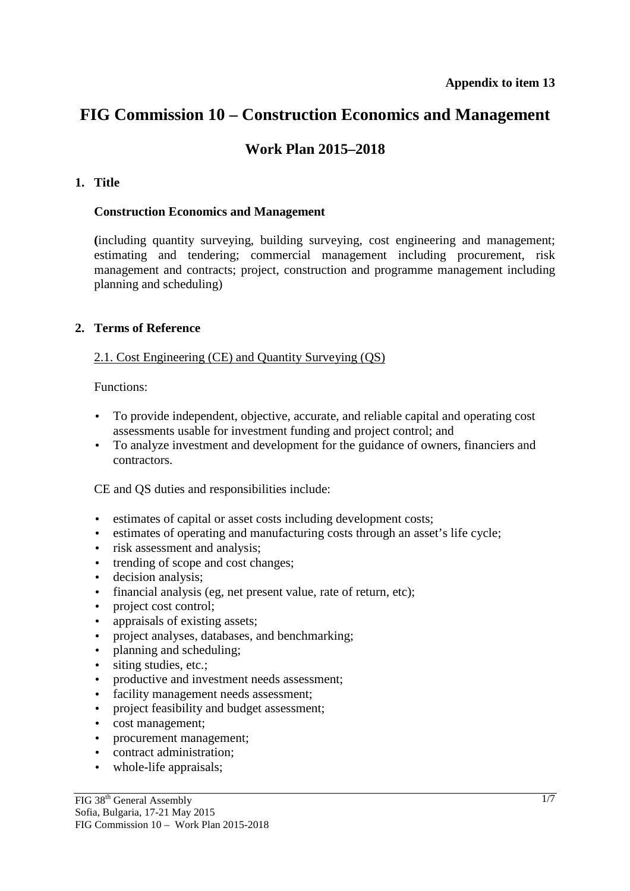# **FIG Commission 10 – Construction Economics and Management**

## **Work Plan 2015–2018**

#### **1. Title**

#### **Construction Economics and Management**

**(**including quantity surveying, building surveying, cost engineering and management; estimating and tendering; commercial management including procurement, risk management and contracts; project, construction and programme management including planning and scheduling)

#### **2. Terms of Reference**

#### 2.1. Cost Engineering (CE) and Quantity Surveying (QS)

Functions:

- To provide independent, objective, accurate, and reliable capital and operating cost assessments usable for investment funding and project control; and
- To analyze investment and development for the guidance of owners, financiers and contractors.

CE and QS duties and responsibilities include:

- estimates of capital or asset costs including development costs;
- estimates of operating and manufacturing costs through an asset's life cycle;
- risk assessment and analysis;
- trending of scope and cost changes:
- decision analysis;
- financial analysis (eg, net present value, rate of return, etc);
- project cost control;
- appraisals of existing assets;
- project analyses, databases, and benchmarking;
- planning and scheduling;
- siting studies, etc.;
- productive and investment needs assessment:
- facility management needs assessment;
- project feasibility and budget assessment;
- cost management;
- procurement management;
- contract administration;
- whole-life appraisals;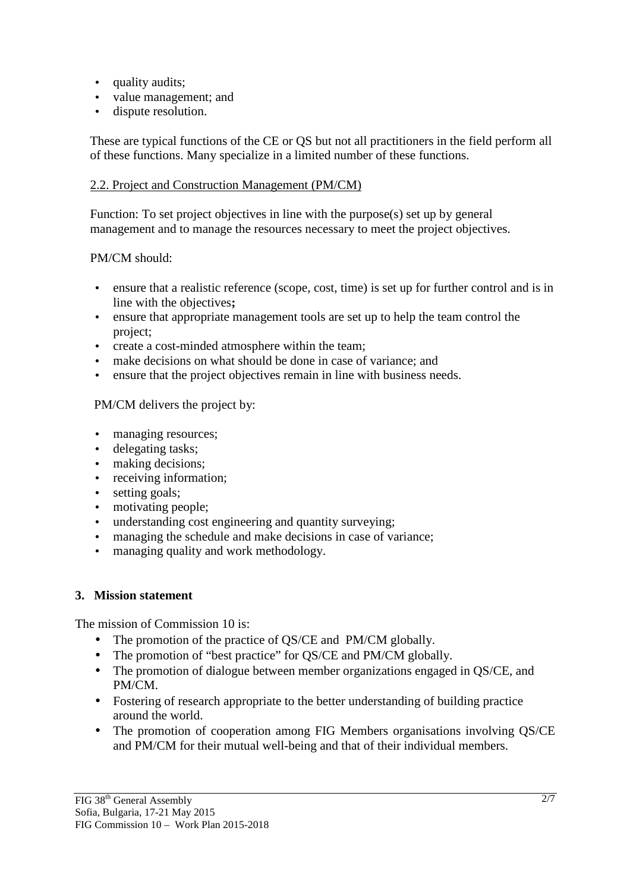- quality audits;
- value management; and
- dispute resolution.

These are typical functions of the CE or QS but not all practitioners in the field perform all of these functions. Many specialize in a limited number of these functions.

#### 2.2. Project and Construction Management (PM/CM)

Function: To set project objectives in line with the purpose(s) set up by general management and to manage the resources necessary to meet the project objectives.

#### PM/CM should:

- ensure that a realistic reference (scope, cost, time) is set up for further control and is in line with the objectives**;**
- ensure that appropriate management tools are set up to help the team control the project;
- create a cost-minded atmosphere within the team;
- make decisions on what should be done in case of variance; and
- ensure that the project objectives remain in line with business needs.

#### PM/CM delivers the project by:

- managing resources;
- delegating tasks;
- making decisions:
- receiving information;
- setting goals;
- motivating people;
- understanding cost engineering and quantity surveying;
- managing the schedule and make decisions in case of variance;
- managing quality and work methodology.

#### **3. Mission statement**

The mission of Commission 10 is:

- The promotion of the practice of QS/CE and PM/CM globally.
- The promotion of "best practice" for OS/CE and PM/CM globally.
- The promotion of dialogue between member organizations engaged in OS/CE, and PM/CM.
- Fostering of research appropriate to the better understanding of building practice around the world.
- The promotion of cooperation among FIG Members organisations involving QS/CE and PM/CM for their mutual well-being and that of their individual members.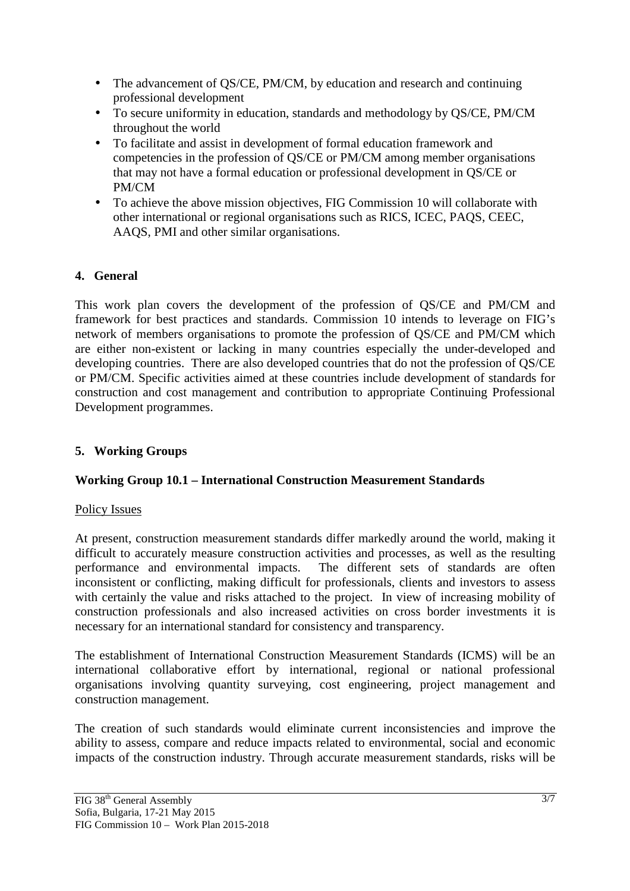- The advancement of QS/CE, PM/CM, by education and research and continuing professional development
- To secure uniformity in education, standards and methodology by QS/CE, PM/CM throughout the world
- To facilitate and assist in development of formal education framework and competencies in the profession of QS/CE or PM/CM among member organisations that may not have a formal education or professional development in QS/CE or PM/CM
- To achieve the above mission objectives, FIG Commission 10 will collaborate with other international or regional organisations such as RICS, ICEC, PAQS, CEEC, AAQS, PMI and other similar organisations.

## **4. General**

This work plan covers the development of the profession of QS/CE and PM/CM and framework for best practices and standards. Commission 10 intends to leverage on FIG's network of members organisations to promote the profession of QS/CE and PM/CM which are either non-existent or lacking in many countries especially the under-developed and developing countries. There are also developed countries that do not the profession of QS/CE or PM/CM. Specific activities aimed at these countries include development of standards for construction and cost management and contribution to appropriate Continuing Professional Development programmes.

## **5. Working Groups**

## **Working Group 10.1 – International Construction Measurement Standards**

## Policy Issues

At present, construction measurement standards differ markedly around the world, making it difficult to accurately measure construction activities and processes, as well as the resulting performance and environmental impacts. The different sets of standards are often inconsistent or conflicting, making difficult for professionals, clients and investors to assess with certainly the value and risks attached to the project. In view of increasing mobility of construction professionals and also increased activities on cross border investments it is necessary for an international standard for consistency and transparency.

The establishment of International Construction Measurement Standards (ICMS) will be an international collaborative effort by international, regional or national professional organisations involving quantity surveying, cost engineering, project management and construction management.

The creation of such standards would eliminate current inconsistencies and improve the ability to assess, compare and reduce impacts related to environmental, social and economic impacts of the construction industry. Through accurate measurement standards, risks will be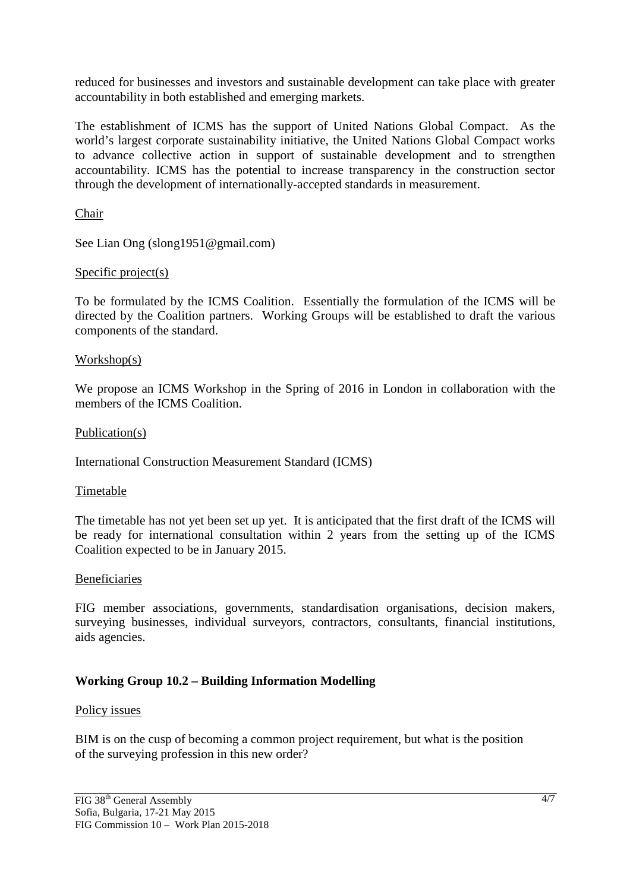reduced for businesses and investors and sustainable development can take place with greater accountability in both established and emerging markets.

The establishment of ICMS has the support of United Nations Global Compact. As the world's largest corporate sustainability initiative, the United Nations Global Compact works to advance collective action in support of sustainable development and to strengthen accountability. ICMS has the potential to increase transparency in the construction sector through the development of internationally-accepted standards in measurement.

Chair

See Lian Ong (slong1951@gmail.com)

#### Specific project(s)

To be formulated by the ICMS Coalition. Essentially the formulation of the ICMS will be directed by the Coalition partners. Working Groups will be established to draft the various components of the standard.

#### Workshop(s)

We propose an ICMS Workshop in the Spring of 2016 in London in collaboration with the members of the ICMS Coalition.

#### Publication(s)

International Construction Measurement Standard (ICMS)

#### Timetable

The timetable has not yet been set up yet. It is anticipated that the first draft of the ICMS will be ready for international consultation within 2 years from the setting up of the ICMS Coalition expected to be in January 2015.

#### **Beneficiaries**

FIG member associations, governments, standardisation organisations, decision makers, surveying businesses, individual surveyors, contractors, consultants, financial institutions, aids agencies.

## **Working Group 10.2 – Building Information Modelling**

#### Policy issues

BIM is on the cusp of becoming a common project requirement, but what is the position of the surveying profession in this new order?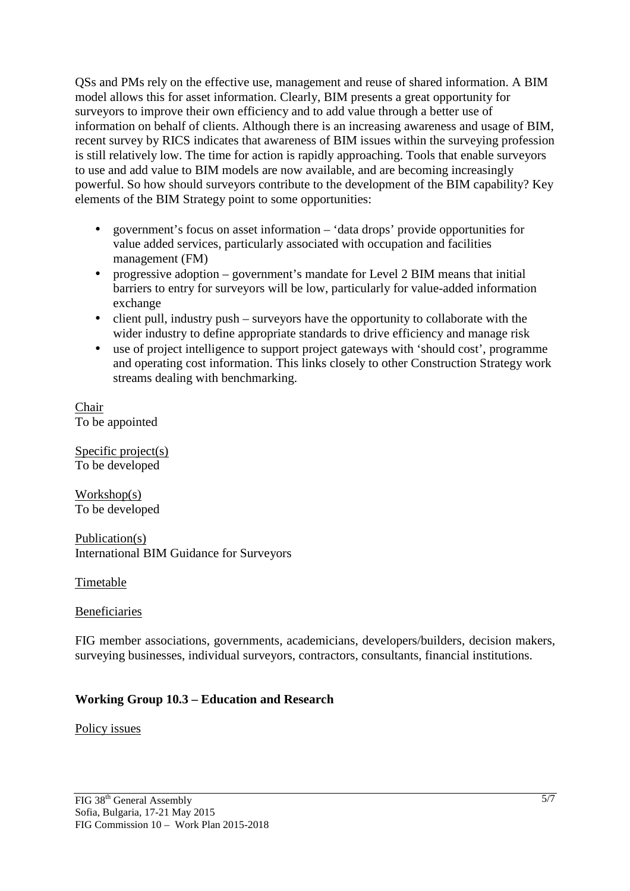QSs and PMs rely on the effective use, management and reuse of shared information. A BIM model allows this for asset information. Clearly, BIM presents a great opportunity for surveyors to improve their own efficiency and to add value through a better use of information on behalf of clients. Although there is an increasing awareness and usage of BIM, recent survey by RICS indicates that awareness of BIM issues within the surveying profession is still relatively low. The time for action is rapidly approaching. Tools that enable surveyors to use and add value to BIM models are now available, and are becoming increasingly powerful. So how should surveyors contribute to the development of the BIM capability? Key elements of the BIM Strategy point to some opportunities:

- government's focus on asset information 'data drops' provide opportunities for value added services, particularly associated with occupation and facilities management (FM)
- progressive adoption government's mandate for Level 2 BIM means that initial barriers to entry for surveyors will be low, particularly for value-added information exchange
- client pull, industry push surveyors have the opportunity to collaborate with the wider industry to define appropriate standards to drive efficiency and manage risk
- use of project intelligence to support project gateways with 'should cost', programme and operating cost information. This links closely to other Construction Strategy work streams dealing with benchmarking.

Chair To be appointed

Specific project(s) To be developed

Workshop(s) To be developed

Publication(s) International BIM Guidance for Surveyors

Timetable

#### **Beneficiaries**

FIG member associations, governments, academicians, developers/builders, decision makers, surveying businesses, individual surveyors, contractors, consultants, financial institutions.

## **Working Group 10.3 – Education and Research**

#### Policy issues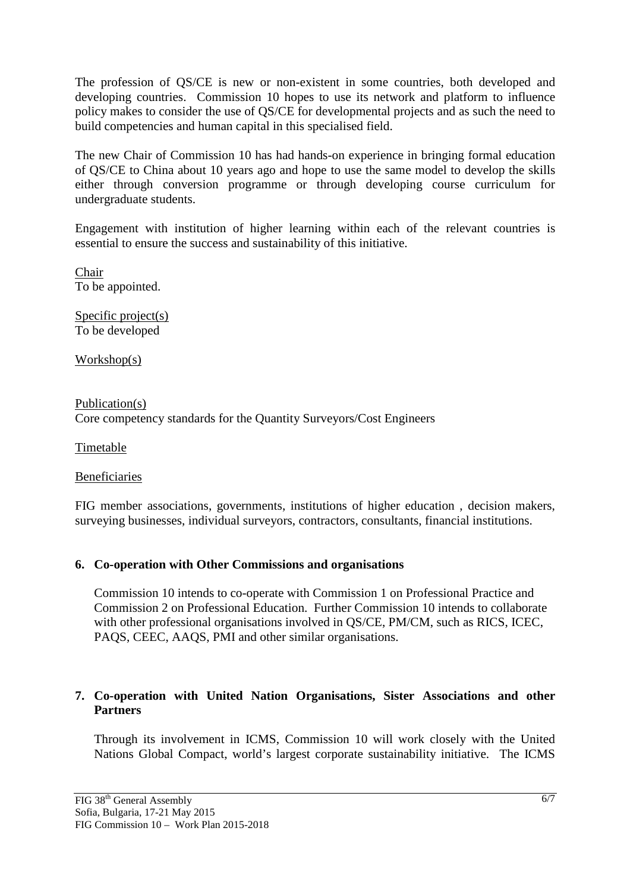The profession of QS/CE is new or non-existent in some countries, both developed and developing countries. Commission 10 hopes to use its network and platform to influence policy makes to consider the use of QS/CE for developmental projects and as such the need to build competencies and human capital in this specialised field.

The new Chair of Commission 10 has had hands-on experience in bringing formal education of QS/CE to China about 10 years ago and hope to use the same model to develop the skills either through conversion programme or through developing course curriculum for undergraduate students.

Engagement with institution of higher learning within each of the relevant countries is essential to ensure the success and sustainability of this initiative.

Chair To be appointed.

Specific project(s) To be developed

Workshop(s)

Publication(s) Core competency standards for the Quantity Surveyors/Cost Engineers

Timetable

Beneficiaries

FIG member associations, governments, institutions of higher education , decision makers, surveying businesses, individual surveyors, contractors, consultants, financial institutions.

#### **6. Co-operation with Other Commissions and organisations**

Commission 10 intends to co-operate with Commission 1 on Professional Practice and Commission 2 on Professional Education. Further Commission 10 intends to collaborate with other professional organisations involved in OS/CE, PM/CM, such as RICS, ICEC, PAQS, CEEC, AAQS, PMI and other similar organisations.

#### **7. Co-operation with United Nation Organisations, Sister Associations and other Partners**

Through its involvement in ICMS, Commission 10 will work closely with the United Nations Global Compact, world's largest corporate sustainability initiative. The ICMS